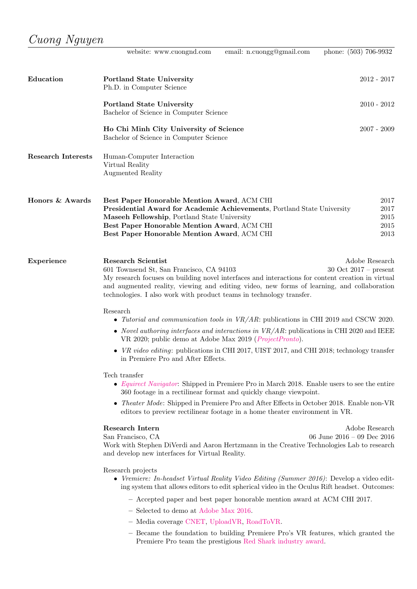|                           | website: www.cuongnd.com                                                                                                                                                                                                                                                                                                                                                                                    | email: n.cuongg@gmail.com                                         | phone: (503) 706-9932                        |
|---------------------------|-------------------------------------------------------------------------------------------------------------------------------------------------------------------------------------------------------------------------------------------------------------------------------------------------------------------------------------------------------------------------------------------------------------|-------------------------------------------------------------------|----------------------------------------------|
| Education                 | <b>Portland State University</b><br>Ph.D. in Computer Science                                                                                                                                                                                                                                                                                                                                               |                                                                   | $2012 - 2017$                                |
|                           | <b>Portland State University</b><br>Bachelor of Science in Computer Science                                                                                                                                                                                                                                                                                                                                 |                                                                   | $2010 - 2012$                                |
|                           | Ho Chi Minh City University of Science<br>Bachelor of Science in Computer Science                                                                                                                                                                                                                                                                                                                           |                                                                   | $2007 - 2009$                                |
| <b>Research Interests</b> | Human-Computer Interaction<br>Virtual Reality<br><b>Augmented Reality</b>                                                                                                                                                                                                                                                                                                                                   |                                                                   |                                              |
| Honors & Awards           | Best Paper Honorable Mention Award, ACM CHI<br>Presidential Award for Academic Achievements, Portland State University<br>Maseeh Fellowship, Portland State University<br>Best Paper Honorable Mention Award, ACM CHI<br>Best Paper Honorable Mention Award, ACM CHI                                                                                                                                        |                                                                   | 2017<br>2017<br>2015<br>2015<br>2013         |
| Experience                | <b>Research Scientist</b><br>601 Townsend St, San Francisco, CA 94103<br>My research focuses on building novel interfaces and interactions for content creation in virtual<br>and augmented reality, viewing and editing video, new forms of learning, and collaboration<br>technologies. I also work with product teams in technology transfer.                                                            |                                                                   | Adobe Research<br>$30$ Oct $2017$ – present  |
|                           | Research<br>• Tutorial and communication tools in $VR/AR$ : publications in CHI 2019 and CSCW 2020.<br>• Novel authoring interfaces and interactions in $VR/AR$ : publications in CHI 2020 and IEEE<br>VR 2020; public demo at Adobe Max 2019 ( <i>ProjectPronto</i> ).<br>• VR video editing: publications in CHI 2017, UIST 2017, and CHI 2018; technology transfer<br>in Premiere Pro and After Effects. |                                                                   |                                              |
|                           | Tech transfer<br>• Equirect Navigator: Shipped in Premiere Pro in March 2018. Enable users to see the entire                                                                                                                                                                                                                                                                                                | 360 footage in a rectilinear format and quickly change viewpoint. |                                              |
|                           | $\bullet$ Theater Mode: Shipped in Premiere Pro and After Effects in October 2018. Enable non-VR<br>editors to preview rectilinear footage in a home theater environment in VR.                                                                                                                                                                                                                             |                                                                   |                                              |
|                           | Research Intern<br>San Francisco, CA<br>Work with Stephen DiVerdi and Aaron Hertzmann in the Creative Technologies Lab to research<br>and develop new interfaces for Virtual Reality.                                                                                                                                                                                                                       |                                                                   | Adobe Research<br>06 June 2016 - 09 Dec 2016 |
|                           | Research projects<br>• Vremiere: In-headset Virtual Reality Video Editing (Summer 2016): Develop a video edit-<br>ing system that allows editors to edit spherical video in the Oculus Rift headset. Outcomes:                                                                                                                                                                                              |                                                                   |                                              |
|                           | - Accepted paper and best paper honorable mention award at ACM CHI 2017.<br>- Selected to demo at Adobe Max 2016.                                                                                                                                                                                                                                                                                           |                                                                   |                                              |
|                           | - Media coverage CNET, UploadVR, RoadToVR.                                                                                                                                                                                                                                                                                                                                                                  |                                                                   |                                              |
|                           | - Became the foundation to building Premiere Pro's VR features, which granted the<br>Premiere Pro team the prestigious Red Shark industry award.                                                                                                                                                                                                                                                            |                                                                   |                                              |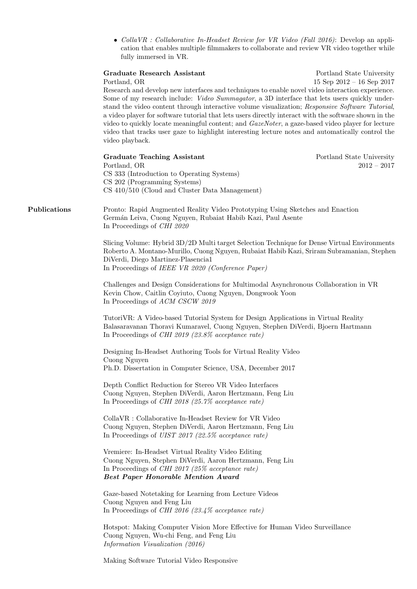• Colla VR : Collaborative In-Headset Review for VR Video (Fall 2016): Develop an application that enables multiple filmmakers to collaborate and review VR video together while fully immersed in VR.

## Graduate Research Assistant Portland State University

Portland, OR 15 Sep 2012 – 16 Sep 2017

Research and develop new interfaces and techniques to enable novel video interaction experience. Some of my research include: *Video Summagator*, a 3D interface that lets users quickly understand the video content through interactive volume visualization; Responsive Software Tutorial, a video player for software tutorial that lets users directly interact with the software shown in the video to quickly locate meaningful content; and *GazeNoter*, a gaze-based video player for lecture video that tracks user gaze to highlight interesting lecture notes and automatically control the video playback.

Graduate Teaching Assistant **Portland State University** Portland State University Portland, OR 2012 – 2017 CS 333 (Introduction to Operating Systems) CS 202 (Programming Systems) CS 410/510 (Cloud and Cluster Data Management)

Publications Pronto: Rapid Augmented Reality Video Prototyping Using Sketches and Enaction Germ´an Leiva, Cuong Nguyen, Rubaiat Habib Kazi, Paul Asente In Proceedings of CHI 2020

> Slicing Volume: Hybrid 3D/2D Multi target Selection Technique for Dense Virtual Environments Roberto A. Montano-Murillo, Cuong Nguyen, Rubaiat Habib Kazi, Sriram Subramanian, Stephen DiVerdi, Diego Martinez-Plasencia1 In Proceedings of IEEE VR 2020 (Conference Paper)

Challenges and Design Considerations for Multimodal Asynchronous Collaboration in VR Kevin Chow, Caitlin Coyiuto, Cuong Nguyen, Dongwook Yoon In Proceedings of ACM CSCW 2019

TutoriVR: A Video-based Tutorial System for Design Applications in Virtual Reality Balasaravanan Thoravi Kumaravel, Cuong Nguyen, Stephen DiVerdi, Bjoern Hartmann In Proceedings of CHI 2019 (23.8% acceptance rate)

Designing In-Headset Authoring Tools for Virtual Reality Video Cuong Nguyen Ph.D. Dissertation in Computer Science, USA, December 2017

Depth Conflict Reduction for Stereo VR Video Interfaces Cuong Nguyen, Stephen DiVerdi, Aaron Hertzmann, Feng Liu In Proceedings of CHI 2018 (25.7% acceptance rate)

CollaVR : Collaborative In-Headset Review for VR Video Cuong Nguyen, Stephen DiVerdi, Aaron Hertzmann, Feng Liu In Proceedings of UIST 2017 (22.5% acceptance rate)

Vremiere: In-Headset Virtual Reality Video Editing Cuong Nguyen, Stephen DiVerdi, Aaron Hertzmann, Feng Liu In Proceedings of CHI 2017 (25% acceptance rate) Best Paper Honorable Mention Award

Gaze-based Notetaking for Learning from Lecture Videos Cuong Nguyen and Feng Liu In Proceedings of CHI 2016 (23.4% acceptance rate)

Hotspot: Making Computer Vision More Effective for Human Video Surveillance Cuong Nguyen, Wu-chi Feng, and Feng Liu Information Visualization (2016)

Making Software Tutorial Video Responsive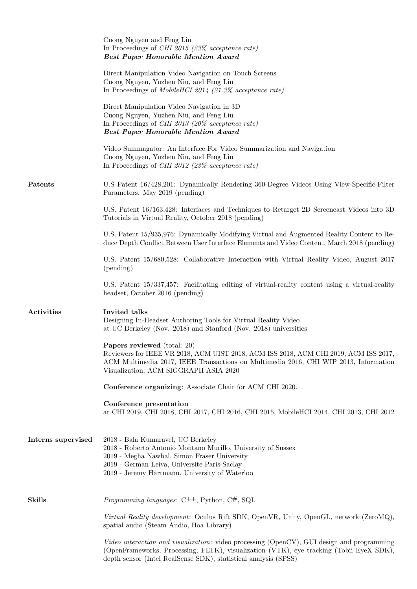|                    | Cuong Nguyen and Feng Liu<br>In Proceedings of CHI 2015 (23% acceptance rate)<br><b>Best Paper Honorable Mention Award</b>                                                                                                                                  |
|--------------------|-------------------------------------------------------------------------------------------------------------------------------------------------------------------------------------------------------------------------------------------------------------|
|                    | Direct Manipulation Video Navigation on Touch Screens<br>Cuong Nguyen, Yuzhen Niu, and Feng Liu<br>In Proceedings of Mobile HCI 2014 (21.3% acceptance rate)                                                                                                |
|                    | Direct Manipulation Video Navigation in 3D<br>Cuong Nguyen, Yuzhen Niu, and Feng Liu<br>In Proceedings of CHI 2013 (20% acceptance rate)<br><b>Best Paper Honorable Mention Award</b>                                                                       |
|                    | Video Summagator: An Interface For Video Summarization and Navigation<br>Cuong Nguyen, Yuzhen Niu, and Feng Liu<br>In Proceedings of <i>CHI 2012</i> (23% acceptance rate)                                                                                  |
| Patents            | U.S Patent 16/428,201: Dynamically Rendering 360-Degree Videos Using View-Specific-Filter<br>Parameters. May 2019 (pending)                                                                                                                                 |
|                    | U.S. Patent 16/163,428: Interfaces and Techniques to Retarget 2D Screencast Videos into 3D<br>Tutorials in Virtual Reality, October 2018 (pending)                                                                                                          |
|                    | U.S. Patent 15/935,976: Dynamically Modifying Virtual and Augmented Reality Content to Re-<br>duce Depth Conflict Between User Interface Elements and Video Content, March 2018 (pending)                                                                   |
|                    | U.S. Patent 15/680,528: Collaborative Interaction with Virtual Reality Video, August 2017<br>(pending)                                                                                                                                                      |
|                    | U.S. Patent 15/337,457: Facilitating editing of virtual-reality content using a virtual-reality<br>headset, October 2016 (pending)                                                                                                                          |
| Activities         | Invited talks<br>Designing In-Headset Authoring Tools for Virtual Reality Video<br>at UC Berkeley (Nov. 2018) and Stanford (Nov. 2018) universities                                                                                                         |
|                    | <b>Papers reviewed</b> (total: 20)<br>Reviewers for IEEE VR 2018, ACM UIST 2018, ACM ISS 2018, ACM CHI 2019, ACM ISS 2017,<br>ACM Multimedia 2017, IEEE Transactions on Multimedia 2016, CHI WIP 2013, Information<br>Visualization, ACM SIGGRAPH ASIA 2020 |
|                    | Conference organizing: Associate Chair for ACM CHI 2020.                                                                                                                                                                                                    |
|                    | Conference presentation<br>at CHI 2019, CHI 2018, CHI 2017, CHI 2016, CHI 2015, MobileHCI 2014, CHI 2013, CHI 2012                                                                                                                                          |
| Interns supervised | 2018 - Bala Kumaravel, UC Berkeley<br>2018 - Roberto Antonio Montano Murillo, University of Sussex<br>2019 - Megha Nawhal, Simon Fraser University<br>2019 - German Leiva, Universite Paris-Saclay<br>2019 - Jeremy Hartmann, University of Waterloo        |
| <b>Skills</b>      | <i>Programming languages</i> : $C^{++}$ , Python, $C^{#}$ , SQL                                                                                                                                                                                             |
|                    | Virtual Reality development: Oculus Rift SDK, OpenVR, Unity, OpenGL, network (ZeroMQ),<br>spatial audio (Steam Audio, Hoa Library)                                                                                                                          |
|                    | Video interaction and visualization: video processing (OpenCV), GUI design and programming<br>(OpenFrameworks, Processing, FLTK), visualization (VTK), eye tracking (Tobii EyeX SDK),<br>depth sensor (Intel RealSense SDK), statistical analysis (SPSS)    |